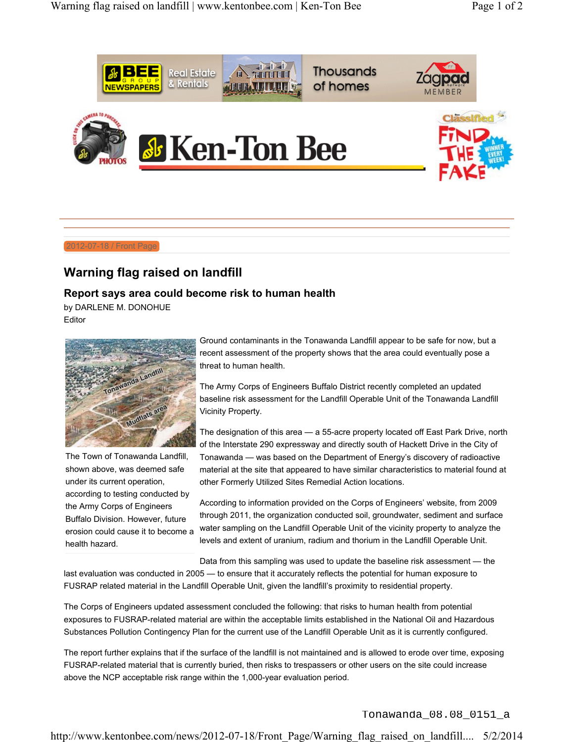

2012-07-18 / Front Page

## **Warning flag raised on landfill**

## **Report says area could become risk to human health**

by DARLENE M. DONOHUE Editor



The Town of Tonawanda Landfill, shown above, was deemed safe under its current operation, according to testing conducted by the Army Corps of Engineers Buffalo Division. However, future erosion could cause it to become a health hazard.

Ground contaminants in the Tonawanda Landfill appear to be safe for now, but a recent assessment of the property shows that the area could eventually pose a threat to human health.

The Army Corps of Engineers Buffalo District recently completed an updated baseline risk assessment for the Landfill Operable Unit of the Tonawanda Landfill Vicinity Property.

The designation of this area — a 55-acre property located off East Park Drive, north of the Interstate 290 expressway and directly south of Hackett Drive in the City of Tonawanda — was based on the Department of Energy's discovery of radioactive material at the site that appeared to have similar characteristics to material found at other Formerly Utilized Sites Remedial Action locations.

According to information provided on the Corps of Engineers' website, from 2009 through 2011, the organization conducted soil, groundwater, sediment and surface water sampling on the Landfill Operable Unit of the vicinity property to analyze the levels and extent of uranium, radium and thorium in the Landfill Operable Unit.

Data from this sampling was used to update the baseline risk assessment — the

last evaluation was conducted in 2005 — to ensure that it accurately reflects the potential for human exposure to FUSRAP related material in the Landfill Operable Unit, given the landfill's proximity to residential property.

The Corps of Engineers updated assessment concluded the following: that risks to human health from potential exposures to FUSRAP-related material are within the acceptable limits established in the National Oil and Hazardous Substances Pollution Contingency Plan for the current use of the Landfill Operable Unit as it is currently configured.

The report further explains that if the surface of the landfill is not maintained and is allowed to erode over time, exposing FUSRAP-related material that is currently buried, then risks to trespassers or other users on the site could increase above the NCP acceptable risk range within the 1,000-year evaluation period.

Tonawanda\_08.08\_0151\_a

http://www.kentonbee.com/news/2012-07-18/Front\_Page/Warning\_flag\_raised\_on\_landfill.... 5/2/2014